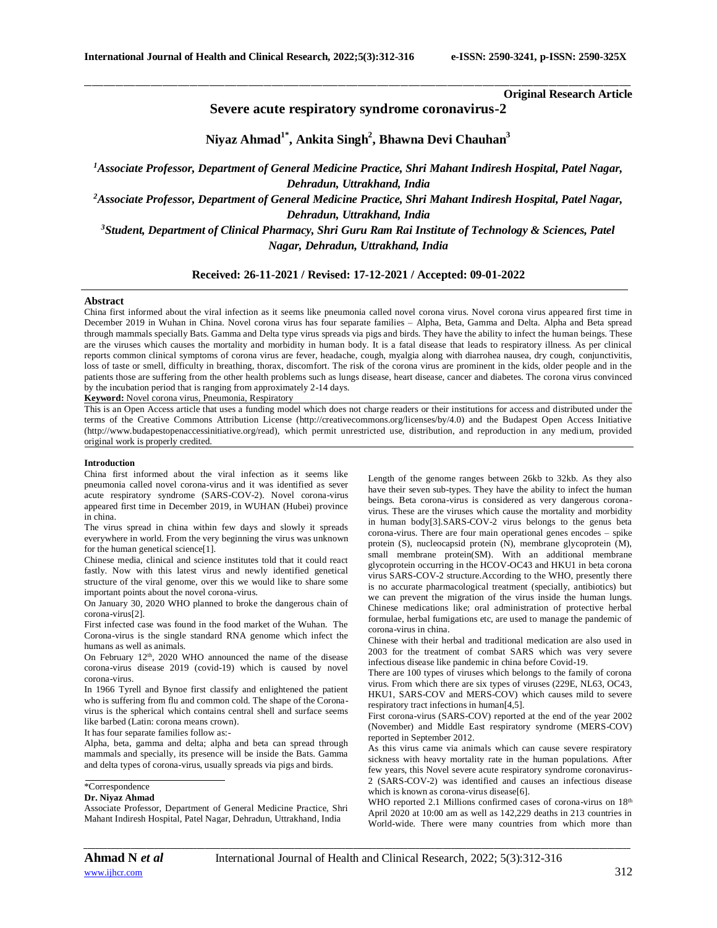**Original Research Article**

**Severe acute respiratory syndrome coronavirus-2**

**Niyaz Ahmad1\* , Ankita Singh<sup>2</sup> , Bhawna Devi Chauhan<sup>3</sup>**

\_\_\_\_\_\_\_\_\_\_\_\_\_\_\_\_\_\_\_\_\_\_\_\_\_\_\_\_\_\_\_\_\_\_\_\_\_\_\_\_\_\_\_\_\_\_\_\_\_\_\_\_\_\_\_\_\_\_\_\_\_\_\_\_\_\_\_\_\_\_\_\_\_\_\_\_\_\_\_\_\_\_\_\_\_\_\_\_\_\_\_\_\_\_\_\_\_\_\_\_\_\_\_\_\_\_\_\_\_\_\_\_\_\_\_\_\_\_\_\_\_\_\_\_\_\_\_\_\_\_\_\_\_\_\_\_\_\_\_\_

*<sup>1</sup>Associate Professor, Department of General Medicine Practice, Shri Mahant Indiresh Hospital, Patel Nagar, Dehradun, Uttrakhand, India*

*<sup>2</sup>Associate Professor, Department of General Medicine Practice, Shri Mahant Indiresh Hospital, Patel Nagar, Dehradun, Uttrakhand, India*

*<sup>3</sup>Student, Department of Clinical Pharmacy, Shri Guru Ram Rai Institute of Technology & Sciences, Patel Nagar, Dehradun, Uttrakhand, India*

**Received: 26-11-2021 / Revised: 17-12-2021 / Accepted: 09-01-2022**

# **Abstract**

China first informed about the viral infection as it seems like pneumonia called novel corona virus. Novel corona virus appeared first time in December 2019 in Wuhan in China. Novel corona virus has four separate families – Alpha, Beta, Gamma and Delta. Alpha and Beta spread through mammals specially Bats. Gamma and Delta type virus spreads via pigs and birds. They have the ability to infect the human beings. These are the viruses which causes the mortality and morbidity in human body. It is a fatal disease that leads to respiratory illness. As per clinical reports common clinical symptoms of corona virus are fever, headache, cough, myalgia along with diarrohea nausea, dry cough, conjunctivitis, loss of taste or smell, difficulty in breathing, thorax, discomfort. The risk of the corona virus are prominent in the kids, older people and in the patients those are suffering from the other health problems such as lungs disease, heart disease, cancer and diabetes. The corona virus convinced by the incubation period that is ranging from approximately 2-14 days.

**Keyword:** Novel corona virus, Pneumonia, Respiratory

This is an Open Access article that uses a funding model which does not charge readers or their institutions for access and distributed under the terms of the Creative Commons Attribution License (http://creativecommons.org/licenses/by/4.0) and the Budapest Open Access Initiative (http://www.budapestopenaccessinitiative.org/read), which permit unrestricted use, distribution, and reproduction in any medium, provided original work is properly credited.

# **Introduction**

China first informed about the viral infection as it seems like pneumonia called novel corona-virus and it was identified as sever acute respiratory syndrome (SARS-COV-2). Novel corona-virus appeared first time in December 2019, in WUHAN (Hubei) province in china.

The virus spread in china within few days and slowly it spreads everywhere in world. From the very beginning the virus was unknown for the human genetical science[1].

Chinese media, clinical and science institutes told that it could react fastly. Now with this latest virus and newly identified genetical structure of the viral genome, over this we would like to share some important points about the novel corona-virus.

On January 30, 2020 WHO planned to broke the dangerous chain of corona-virus[2].

First infected case was found in the food market of the Wuhan. The Corona-virus is the single standard RNA genome which infect the humans as well as animals.

On February 12<sup>th</sup>, 2020 WHO announced the name of the disease corona-virus disease 2019 (covid-19) which is caused by novel corona-virus.

In 1966 Tyrell and Bynoe first classify and enlightened the patient who is suffering from flu and common cold. The shape of the Coronavirus is the spherical which contains central shell and surface seems like barbed (Latin: corona means crown).

It has four separate families follow as:-

Alpha, beta, gamma and delta; alpha and beta can spread through mammals and specially, its presence will be inside the Bats. Gamma and delta types of corona-virus, usually spreads via pigs and birds.

# \*Correspondence

### **Dr. Niyaz Ahmad**

Associate Professor, Department of General Medicine Practice, Shri Mahant Indiresh Hospital, Patel Nagar, Dehradun, Uttrakhand, India

Length of the genome ranges between 26kb to 32kb. As they also have their seven sub-types. They have the ability to infect the human beings. Beta corona-virus is considered as very dangerous coronavirus. These are the viruses which cause the mortality and morbidity in human body[3].SARS-COV-2 virus belongs to the genus beta corona-virus. There are four main operational genes encodes – spike protein (S), nucleocapsid protein (N), membrane glycoprotein (M), small membrane protein(SM). With an additional membrane glycoprotein occurring in the HCOV-OC43 and HKU1 in beta corona virus SARS-COV-2 structure.According to the WHO, presently there is no accurate pharmacological treatment (specially, antibiotics) but we can prevent the migration of the virus inside the human lungs. Chinese medications like; oral administration of protective herbal formulae, herbal fumigations etc, are used to manage the pandemic of corona-virus in china.

Chinese with their herbal and traditional medication are also used in 2003 for the treatment of combat SARS which was very severe infectious disease like pandemic in china before Covid-19.

There are 100 types of viruses which belongs to the family of corona virus. From which there are six types of viruses (229E, NL63, OC43, HKU1, SARS-COV and MERS-COV) which causes mild to severe respiratory tract infections in human[4,5].

First corona-virus (SARS-COV) reported at the end of the year 2002 (November) and Middle East respiratory syndrome (MERS-COV) reported in September 2012.

As this virus came via animals which can cause severe respiratory sickness with heavy mortality rate in the human populations. After few years, this Novel severe acute respiratory syndrome coronavirus-2 (SARS-COV-2) was identified and causes an infectious disease which is known as corona-virus disease[6].

WHO reported 2.1 Millions confirmed cases of corona-virus on 18<sup>th</sup> April 2020 at 10:00 am as well as 142,229 deaths in 213 countries in World-wide. There were many countries from which more than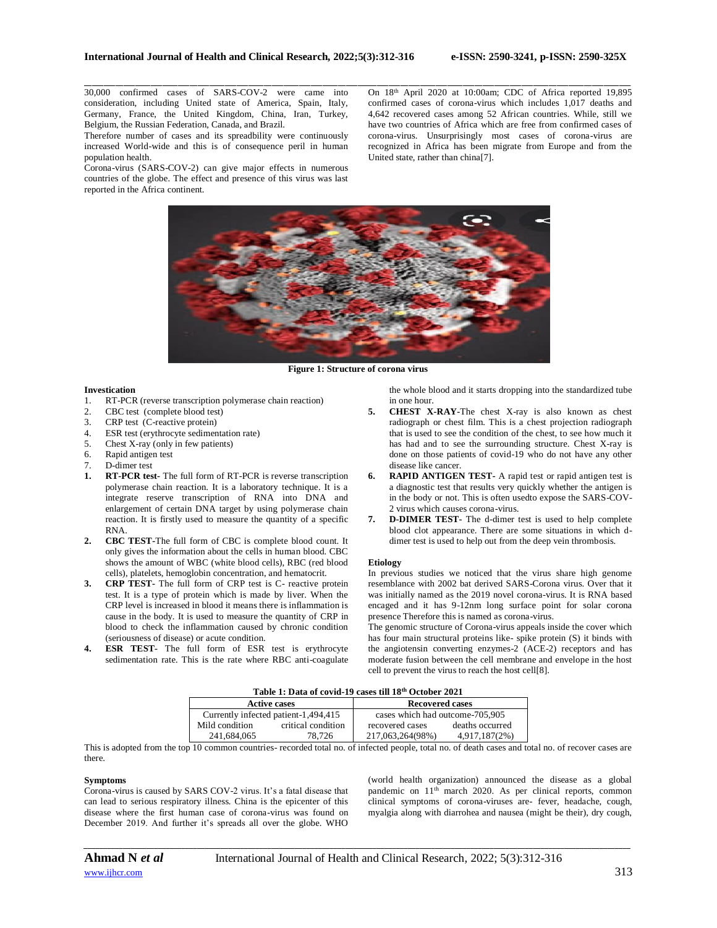30,000 confirmed cases of SARS-COV-2 were came into consideration, including United state of America, Spain, Italy, Germany, France, the United Kingdom, China, Iran, Turkey, Belgium, the Russian Federation, Canada, and Brazil.

Therefore number of cases and its spreadbility were continuously increased World-wide and this is of consequence peril in human population health.

Corona-virus (SARS-COV-2) can give major effects in numerous countries of the globe. The effect and presence of this virus was last reported in the Africa continent.

On 18th April 2020 at 10:00am; CDC of Africa reported 19,895 confirmed cases of corona-virus which includes 1,017 deaths and 4,642 recovered cases among 52 African countries. While, still we have two countries of Africa which are free from confirmed cases of corona-virus. Unsurprisingly most cases of corona-virus are recognized in Africa has been migrate from Europe and from the United state, rather than china[7].



\_\_\_\_\_\_\_\_\_\_\_\_\_\_\_\_\_\_\_\_\_\_\_\_\_\_\_\_\_\_\_\_\_\_\_\_\_\_\_\_\_\_\_\_\_\_\_\_\_\_\_\_\_\_\_\_\_\_\_\_\_\_\_\_\_\_\_\_\_\_\_\_\_\_\_\_\_\_\_\_\_\_\_\_\_\_\_\_\_\_\_\_\_\_\_\_\_\_\_\_\_\_\_\_\_\_\_\_\_\_\_\_\_\_\_\_\_\_\_\_\_\_\_\_\_\_\_\_\_\_\_\_\_\_\_\_\_\_\_\_

**Figure 1: Structure of corona virus**

### **Investication**

- 1. RT-PCR (reverse transcription polymerase chain reaction)
- 2. CBC test (complete blood test)
- 3. CRP test (C-reactive protein)
- 4. ESR test (erythrocyte sedimentation rate)
- 5. Chest X-ray (only in few patients)
- 6. Rapid antigen test
- 7. D-dimer test<br>1. RT-PCR test
- **1. RT-PCR test-** The full form of RT-PCR is reverse transcription polymerase chain reaction. It is a laboratory technique. It is a integrate reserve transcription of RNA into DNA and enlargement of certain DNA target by using polymerase chain reaction. It is firstly used to measure the quantity of a specific RNA.
- **2. CBC TEST-**The full form of CBC is complete blood count. It only gives the information about the cells in human blood. CBC shows the amount of WBC (white blood cells), RBC (red blood cells), platelets, hemoglobin concentration, and hematocrit.
- **3. CRP TEST-** The full form of CRP test is C- reactive protein test. It is a type of protein which is made by liver. When the CRP level is increased in blood it means there is inflammation is cause in the body. It is used to measure the quantity of CRP in blood to check the inflammation caused by chronic condition (seriousness of disease) or acute condition.
- **ESR TEST-** The full form of ESR test is erythrocyte sedimentation rate. This is the rate where RBC anti-coagulate

the whole blood and it starts dropping into the standardized tube in one hour.

- **5. CHEST X-RAY-**The chest X-ray is also known as chest radiograph or chest film. This is a chest projection radiograph that is used to see the condition of the chest, to see how much it has had and to see the surrounding structure. Chest X-ray is done on those patients of covid-19 who do not have any other disease like cancer.
- **6. RAPID ANTIGEN TEST-** A rapid test or rapid antigen test is a diagnostic test that results very quickly whether the antigen is in the body or not. This is often usedto expose the SARS-COV-2 virus which causes corona-virus.
- **7. D-DIMER TEST-** The d-dimer test is used to help complete blood clot appearance. There are some situations in which ddimer test is used to help out from the deep vein thrombosis.

#### **Etiology**

In previous studies we noticed that the virus share high genome resemblance with 2002 bat derived SARS-Corona virus. Over that it was initially named as the 2019 novel corona-virus. It is RNA based encaged and it has 9-12nm long surface point for solar corona presence Therefore this is named as corona-virus.

The genomic structure of Corona-virus appeals inside the cover which has four main structural proteins like- spike protein (S) it binds with the angiotensin converting enzymes-2 (ACE-2) receptors and has moderate fusion between the cell membrane and envelope in the host cell to prevent the virus to reach the host cell[8].

| Table 1: Data of covid-19 cases till 18 <sup>th</sup> October 2021 |                    |                                 |                 |  |  |
|--------------------------------------------------------------------|--------------------|---------------------------------|-----------------|--|--|
| <b>Active cases</b>                                                |                    | <b>Recovered cases</b>          |                 |  |  |
| Currently infected patient-1,494,415                               |                    | cases which had outcome-705,905 |                 |  |  |
| Mild condition                                                     | critical condition | recovered cases                 | deaths occurred |  |  |
| 241.684.065                                                        | 78.726             | 217,063,264(98%)                | 4,917,187(2%)   |  |  |

This is adopted from the top 10 common countries- recorded total no. of infected people, total no. of death cases and total no. of recover cases are there.

*\_\_\_\_\_\_\_\_\_\_\_\_\_\_\_\_\_\_\_\_\_\_\_\_\_\_\_\_\_\_\_\_\_\_\_\_\_\_\_\_\_\_\_\_\_\_\_\_\_\_\_\_\_\_\_\_\_\_\_\_\_\_\_\_\_\_\_\_\_\_\_\_\_\_\_\_\_\_\_\_\_\_\_\_\_\_\_\_\_\_\_\_\_\_\_\_\_\_\_\_\_\_\_\_\_\_\_\_\_\_\_\_\_\_\_\_\_\_\_\_\_\_\_\_\_\_\_\_\_\_\_\_\_\_\_\_\_\_\_\_*

# **Symptoms**

Corona-virus is caused by SARS COV-2 virus. It's a fatal disease that can lead to serious respiratory illness. China is the epicenter of this disease where the first human case of corona-virus was found on December 2019. And further it's spreads all over the globe. WHO

(world health organization) announced the disease as a global pandemic on  $11<sup>th</sup>$  march 2020. As per clinical reports, common clinical symptoms of corona-viruses are- fever, headache, cough, myalgia along with diarrohea and nausea (might be their), dry cough,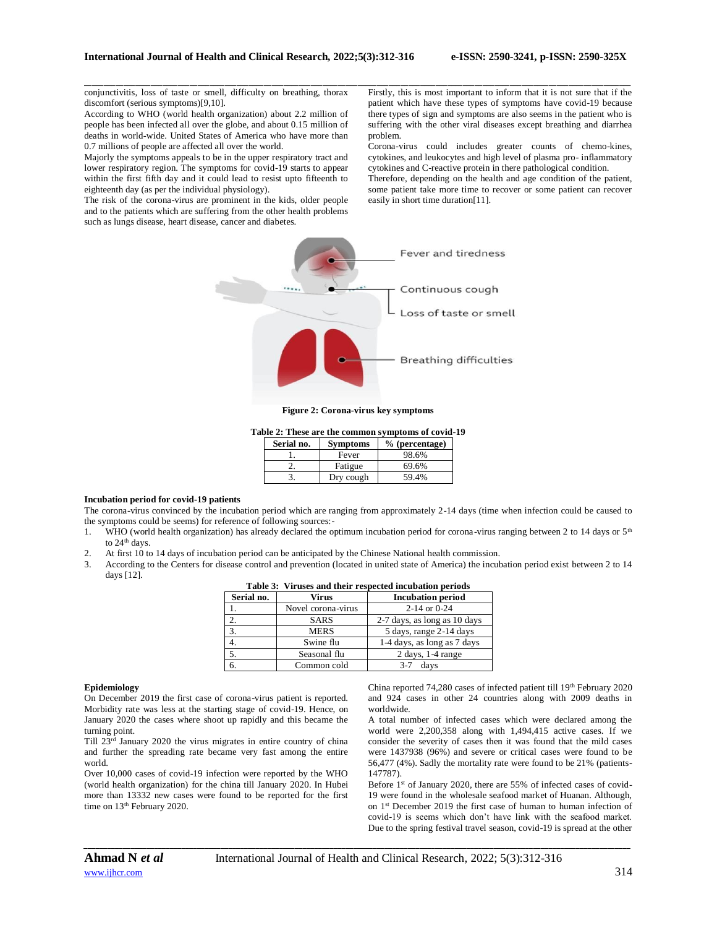conjunctivitis, loss of taste or smell, difficulty on breathing, thorax discomfort (serious symptoms)[9,10].

According to WHO (world health organization) about 2.2 million of people has been infected all over the globe, and about 0.15 million of deaths in world-wide. United States of America who have more than 0.7 millions of people are affected all over the world.

Majorly the symptoms appeals to be in the upper respiratory tract and lower respiratory region. The symptoms for covid-19 starts to appear within the first fifth day and it could lead to resist upto fifteenth to eighteenth day (as per the individual physiology).

The risk of the corona-virus are prominent in the kids, older people and to the patients which are suffering from the other health problems such as lungs disease, heart disease, cancer and diabetes.

\_\_\_\_\_\_\_\_\_\_\_\_\_\_\_\_\_\_\_\_\_\_\_\_\_\_\_\_\_\_\_\_\_\_\_\_\_\_\_\_\_\_\_\_\_\_\_\_\_\_\_\_\_\_\_\_\_\_\_\_\_\_\_\_\_\_\_\_\_\_\_\_\_\_\_\_\_\_\_\_\_\_\_\_\_\_\_\_\_\_\_\_\_\_\_\_\_\_\_\_\_\_\_\_\_\_\_\_\_\_\_\_\_\_\_\_\_\_\_\_\_\_\_\_\_\_\_\_\_\_\_\_\_\_\_\_\_\_\_\_ Firstly, this is most important to inform that it is not sure that if the patient which have these types of symptoms have covid-19 because there types of sign and symptoms are also seems in the patient who is suffering with the other viral diseases except breathing and diarrhea problem.

> Corona-virus could includes greater counts of chemo-kines, cytokines, and leukocytes and high level of plasma pro- inflammatory cytokines and C-reactive protein in there pathological condition.

> Therefore, depending on the health and age condition of the patient, some patient take more time to recover or some patient can recover easily in short time duration[11].



**Figure 2: Corona-virus key symptoms**

**Table 2: These are the common symptoms of covid-19**

| Serial no. | <b>Symptoms</b> | $%$ (percentage) |
|------------|-----------------|------------------|
|            | Fever           | 98.6%            |
|            | Fatigue         | 69.6%            |
|            | Dry cough       | 59.4%            |

# **Incubation period for covid-19 patients**

The corona-virus convinced by the incubation period which are ranging from approximately 2-14 days (time when infection could be caused to the symptoms could be seems) for reference of following sources:-

- 1. WHO (world health organization) has already declared the optimum incubation period for corona-virus ranging between 2 to 14 days or  $5<sup>th</sup>$ to 24<sup>th</sup> days.
- 2. At first 10 to 14 days of incubation period can be anticipated by the Chinese National health commission.
- 3. According to the Centers for disease control and prevention (located in united state of America) the incubation period exist between 2 to 14 days [12].

| Serial no. | Virus              | <b>Incubation period</b>     |  |  |
|------------|--------------------|------------------------------|--|--|
|            | Novel corona-virus | $2-14$ or 0-24               |  |  |
| 2.         | <b>SARS</b>        | 2-7 days, as long as 10 days |  |  |
| 3.         | <b>MERS</b>        | 5 days, range 2-14 days      |  |  |
| 4.         | Swine flu          | 1-4 days, as long as 7 days  |  |  |
| 5.         | Seasonal flu       | $2$ days, 1-4 range          |  |  |
| 6.         | Common cold        | days<br>3-7                  |  |  |

# **Table 3: Viruses and their respected incubation periods**

# **Epidemiology**

On December 2019 the first case of corona-virus patient is reported. Morbidity rate was less at the starting stage of covid-19. Hence, on January 2020 the cases where shoot up rapidly and this became the turning point.

Till 23rd January 2020 the virus migrates in entire country of china and further the spreading rate became very fast among the entire world.

Over 10,000 cases of covid-19 infection were reported by the WHO (world health organization) for the china till January 2020. In Hubei more than 13332 new cases were found to be reported for the first time on 13<sup>th</sup> February 2020.

China reported 74,280 cases of infected patient till 19<sup>th</sup> February 2020 and 924 cases in other 24 countries along with 2009 deaths in worldwide.

A total number of infected cases which were declared among the world were 2,200,358 along with 1,494,415 active cases. If we consider the severity of cases then it was found that the mild cases were 1437938 (96%) and severe or critical cases were found to be 56,477 (4%). Sadly the mortality rate were found to be 21% (patients-147787).

Before 1<sup>st</sup> of January 2020, there are 55% of infected cases of covid-19 were found in the wholesale seafood market of Huanan. Although, on 1<sup>st</sup> December 2019 the first case of human to human infection of covid-19 is seems which don't have link with the seafood market. Due to the spring festival travel season, covid-19 is spread at the other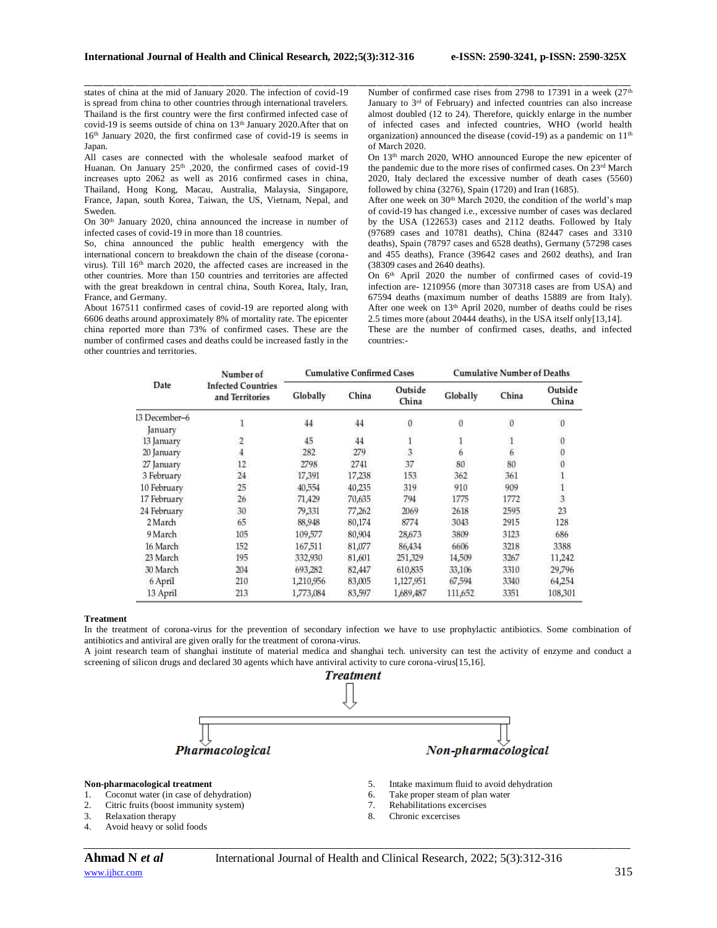states of china at the mid of January 2020. The infection of covid-19 is spread from china to other countries through international travelers. Thailand is the first country were the first confirmed infected case of covid-19 is seems outside of china on 13<sup>th</sup> January 2020.After that on 16<sup>th</sup> January 2020, the first confirmed case of covid-19 is seems in Japan.

All cases are connected with the wholesale seafood market of Huanan. On January 25<sup>th</sup> ,2020, the confirmed cases of covid-19 increases upto 2062 as well as 2016 confirmed cases in china, Thailand, Hong Kong, Macau, Australia, Malaysia, Singapore, France, Japan, south Korea, Taiwan, the US, Vietnam, Nepal, and Sweden.

On 30th January 2020, china announced the increase in number of infected cases of covid-19 in more than 18 countries.

So, china announced the public health emergency with the international concern to breakdown the chain of the disease (coronavirus). Till 16<sup>th</sup> march 2020, the affected cases are increased in the other countries. More than 150 countries and territories are affected with the great breakdown in central china, South Korea, Italy, Iran, France, and Germany.

About 167511 confirmed cases of covid-19 are reported along with 6606 deaths around approximately 8% of mortality rate. The epicenter china reported more than 73% of confirmed cases. These are the number of confirmed cases and deaths could be increased fastly in the other countries and territories.

Number of confirmed case rises from 2798 to 17391 in a week  $(27<sup>th</sup>$ January to 3<sup>rd</sup> of February) and infected countries can also increase almost doubled (12 to 24). Therefore, quickly enlarge in the number of infected cases and infected countries, WHO (world health organization) announced the disease (covid-19) as a pandemic on 11<sup>th</sup> of March 2020.

On 13th march 2020, WHO announced Europe the new epicenter of the pandemic due to the more rises of confirmed cases. On 23<sup>rd</sup> March 2020, Italy declared the excessive number of death cases (5560) followed by china (3276), Spain (1720) and Iran (1685).

After one week on 30<sup>th</sup> March 2020, the condition of the world's map of covid-19 has changed i.e., excessive number of cases was declared by the USA (122653) cases and 2112 deaths. Followed by Italy (97689 cases and 10781 deaths), China (82447 cases and 3310 deaths), Spain (78797 cases and 6528 deaths), Germany (57298 cases and 455 deaths), France (39642 cases and 2602 deaths), and Iran (38309 cases and 2640 deaths).

On 6<sup>th</sup> April 2020 the number of confirmed cases of covid-19 infection are- 1210956 (more than 307318 cases are from USA) and 67594 deaths (maximum number of deaths 15889 are from Italy). After one week on 13th April 2020, number of deaths could be rises 2.5 times more (about 20444 deaths), in the USA itself only[13,14].

These are the number of confirmed cases, deaths, and infected countries:-

| Date                     | Number of<br><b>Infected Countries</b><br>and Territories | <b>Cumulative Confirmed Cases</b> |        |                  | <b>Cumulative Number of Deaths</b> |                  |                  |
|--------------------------|-----------------------------------------------------------|-----------------------------------|--------|------------------|------------------------------------|------------------|------------------|
|                          |                                                           | Globally                          | China  | Outside<br>China | Globally                           | China            | Outside<br>China |
| 13 December-6<br>January |                                                           | 44                                | 44     | $\boldsymbol{0}$ | $\boldsymbol{0}$                   | $\boldsymbol{0}$ | $\boldsymbol{0}$ |
| 13 January               | $\overline{\mathbf{c}}$                                   | 45                                | 44     |                  |                                    |                  | $\bf{0}$         |
| 20 January               |                                                           | 282                               | 279    | $\frac{1}{3}$    | 6                                  | $\ddot{6}$       | 0                |
| 27 January               | 12                                                        | 2798                              | 2741   | 37               | 80                                 | 80               | Ò                |
| 3 February               | 24                                                        | 17,391                            | 17,238 | 153              | 362                                | 361              |                  |
| 10 February              | 25                                                        | 40,554                            | 40,235 | 319              | 910                                | 909              |                  |
| 17 February              | 26                                                        | 71,429                            | 70,635 | 794              | 1775                               | 1772             | 3                |
| 24 February              | 30                                                        | 79,331                            | 77,262 | 2069             | 2618                               | 2595             | 23               |
| 2 March                  | 65                                                        | 88,948                            | 80,174 | 8774             | 3043                               | 2915             | 128              |
| 9 March                  | 105                                                       | 109,577                           | 80,904 | 28,673           | 3809                               | 3123             | 686              |
| 16 March                 | 152                                                       | 167,511                           | 81,077 | 86,434           | 6606                               | 3218             | 3388             |
| 23 March                 | 195                                                       | 332,930                           | 81,601 | 251,329          | 14,509                             | 3267             | 11,242           |
| 30 March                 | 204                                                       | 693,282                           | 82,447 | 610,835          | 33,106                             | 3310             | 29,796           |
| 6 April                  | 210                                                       | 1,210,956                         | 83,005 | 1,127,951        | 67,594                             | 3340             | 64,254           |
| 13 April                 | 213                                                       | 1,773,084                         | 83,597 | 1,689,487        | 111,652                            | 3351             | 108,301          |

\_\_\_\_\_\_\_\_\_\_\_\_\_\_\_\_\_\_\_\_\_\_\_\_\_\_\_\_\_\_\_\_\_\_\_\_\_\_\_\_\_\_\_\_\_\_\_\_\_\_\_\_\_\_\_\_\_\_\_\_\_\_\_\_\_\_\_\_\_\_\_\_\_\_\_\_\_\_\_\_\_\_\_\_\_\_\_\_\_\_\_\_\_\_\_\_\_\_\_\_\_\_\_\_\_\_\_\_\_\_\_\_\_\_\_\_\_\_\_\_\_\_\_\_\_\_\_\_\_\_\_\_\_\_\_\_\_\_\_\_

### **Treatment**

In the treatment of corona-virus for the prevention of secondary infection we have to use prophylactic antibiotics. Some combination of antibiotics and antiviral are given orally for the treatment of corona-virus.

A joint research team of shanghai institute of material medica and shanghai tech. university can test the activity of enzyme and conduct a screening of silicon drugs and declared 30 agents which have antiviral activity to cure corona-virus[15,16].



- 2. Citric fruits (boost immunity system)
- 3. Relaxation therapy
- 4. Avoid heavy or solid foods
- [www.ijhcr.com](http://www.ijhcr.com/)  $315$

8. Chronic excercises